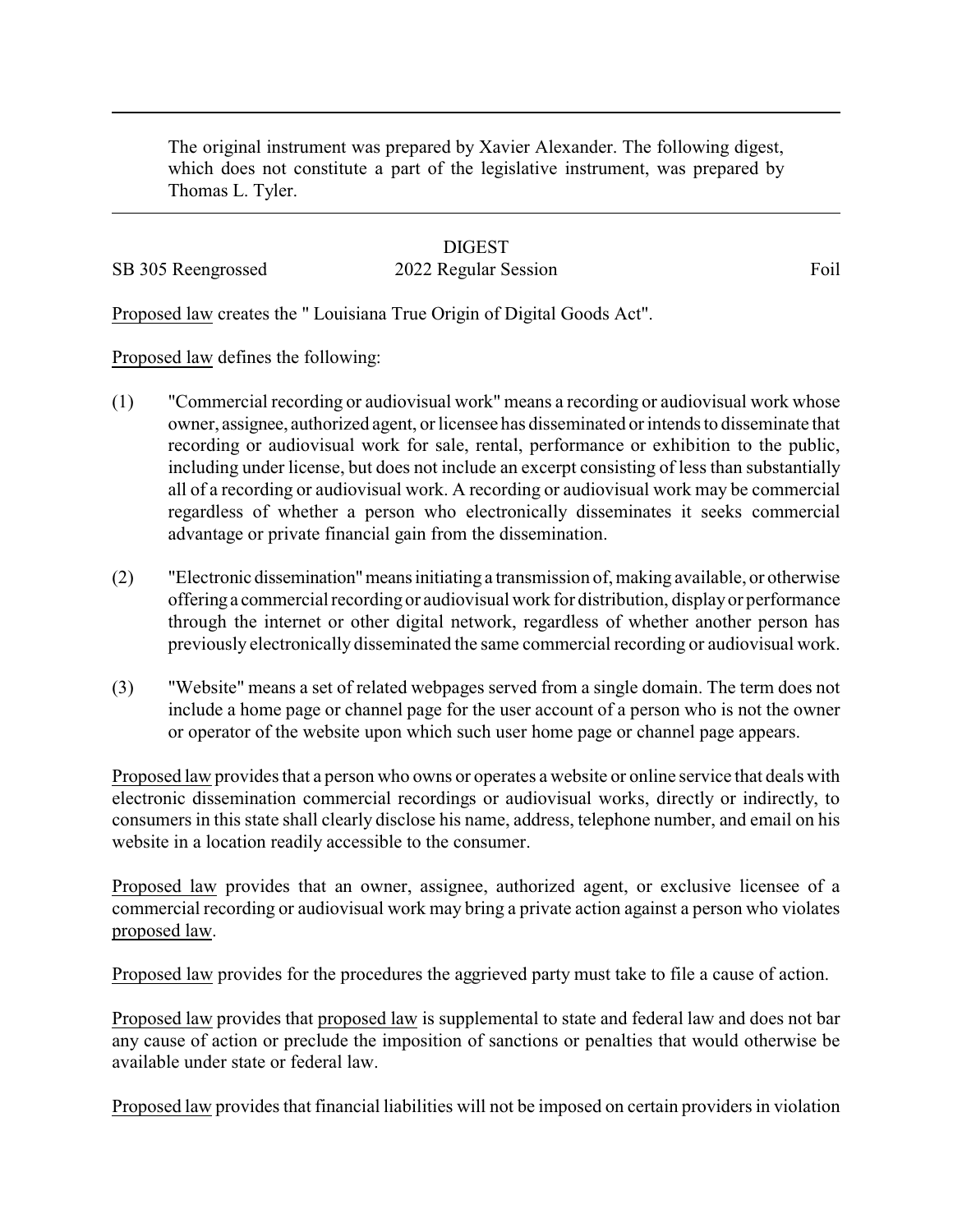The original instrument was prepared by Xavier Alexander. The following digest, which does not constitute a part of the legislative instrument, was prepared by Thomas L. Tyler.

## **DIGEST** SB 305 Reengrossed 2022 Regular Session Foil

Proposed law creates the " Louisiana True Origin of Digital Goods Act".

Proposed law defines the following:

- (1) "Commercial recording or audiovisual work" means a recording or audiovisual work whose owner, assignee, authorized agent, or licensee has disseminated or intends to disseminate that recording or audiovisual work for sale, rental, performance or exhibition to the public, including under license, but does not include an excerpt consisting of less than substantially all of a recording or audiovisual work. A recording or audiovisual work may be commercial regardless of whether a person who electronically disseminates it seeks commercial advantage or private financial gain from the dissemination.
- (2) "Electronic dissemination"meansinitiating a transmission of, making available, or otherwise offering a commercial recording or audiovisual work for distribution, displayor performance through the internet or other digital network, regardless of whether another person has previously electronically disseminated the same commercial recording or audiovisual work.
- (3) "Website" means a set of related webpages served from a single domain. The term does not include a home page or channel page for the user account of a person who is not the owner or operator of the website upon which such user home page or channel page appears.

Proposed law provides that a person who owns or operates a website or online service that deals with electronic dissemination commercial recordings or audiovisual works, directly or indirectly, to consumers in this state shall clearly disclose his name, address, telephone number, and email on his website in a location readily accessible to the consumer.

Proposed law provides that an owner, assignee, authorized agent, or exclusive licensee of a commercial recording or audiovisual work may bring a private action against a person who violates proposed law.

Proposed law provides for the procedures the aggrieved party must take to file a cause of action.

Proposed law provides that proposed law is supplemental to state and federal law and does not bar any cause of action or preclude the imposition of sanctions or penalties that would otherwise be available under state or federal law.

Proposed law provides that financial liabilities will not be imposed on certain providers in violation